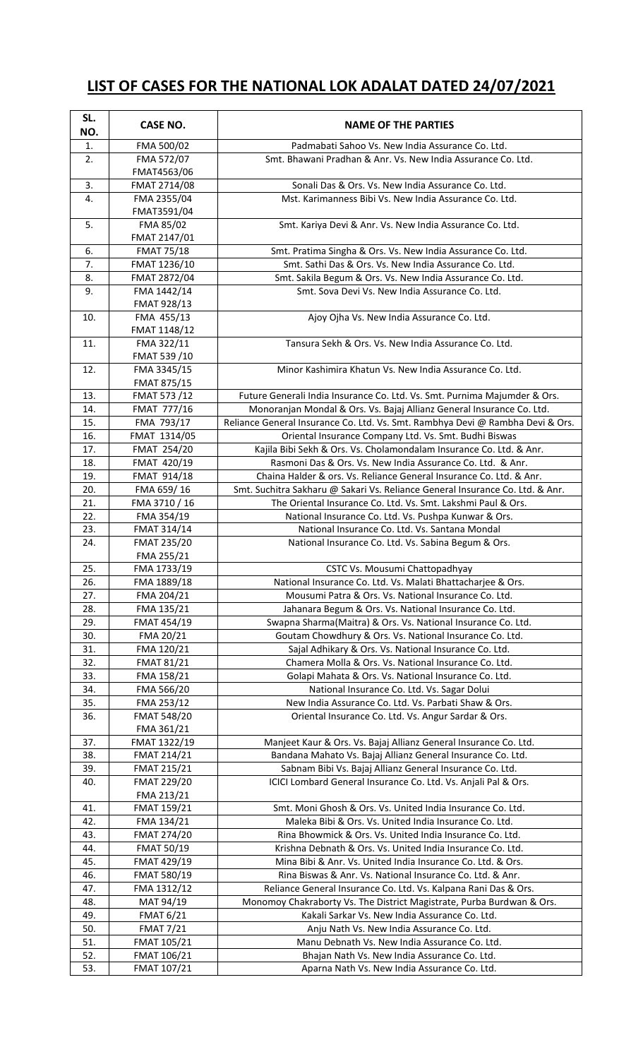## **LIST OF CASES FOR THE NATIONAL LOK ADALAT DATED 24/07/2021**

| SL.<br>NO. | <b>CASE NO.</b>            | <b>NAME OF THE PARTIES</b>                                                                                                              |
|------------|----------------------------|-----------------------------------------------------------------------------------------------------------------------------------------|
| 1.         | FMA 500/02                 | Padmabati Sahoo Vs. New India Assurance Co. Ltd.                                                                                        |
| 2.         | FMA 572/07                 | Smt. Bhawani Pradhan & Anr. Vs. New India Assurance Co. Ltd.                                                                            |
|            | FMAT4563/06                |                                                                                                                                         |
| 3.         | FMAT 2714/08               | Sonali Das & Ors. Vs. New India Assurance Co. Ltd.                                                                                      |
| 4.         | FMA 2355/04                | Mst. Karimanness Bibi Vs. New India Assurance Co. Ltd.                                                                                  |
|            | FMAT3591/04                |                                                                                                                                         |
| 5.         | FMA 85/02                  | Smt. Kariya Devi & Anr. Vs. New India Assurance Co. Ltd.                                                                                |
|            | FMAT 2147/01               |                                                                                                                                         |
| 6.         | <b>FMAT 75/18</b>          | Smt. Pratima Singha & Ors. Vs. New India Assurance Co. Ltd.                                                                             |
| 7.         | FMAT 1236/10               | Smt. Sathi Das & Ors. Vs. New India Assurance Co. Ltd.                                                                                  |
| 8.         | FMAT 2872/04               | Smt. Sakila Begum & Ors. Vs. New India Assurance Co. Ltd.                                                                               |
| 9.         | FMA 1442/14                | Smt. Sova Devi Vs. New India Assurance Co. Ltd.                                                                                         |
|            | FMAT 928/13                |                                                                                                                                         |
| 10.        | FMA 455/13                 | Ajoy Ojha Vs. New India Assurance Co. Ltd.                                                                                              |
|            | FMAT 1148/12               |                                                                                                                                         |
| 11.        | FMA 322/11                 | Tansura Sekh & Ors. Vs. New India Assurance Co. Ltd.                                                                                    |
|            | FMAT 539 /10               |                                                                                                                                         |
| 12.        | FMA 3345/15                | Minor Kashimira Khatun Vs. New India Assurance Co. Ltd.                                                                                 |
|            | FMAT 875/15                |                                                                                                                                         |
| 13.        | FMAT 573 /12               | Future Generali India Insurance Co. Ltd. Vs. Smt. Purnima Majumder & Ors.                                                               |
| 14.        | <b>FMAT 777/16</b>         | Monoranjan Mondal & Ors. Vs. Bajaj Allianz General Insurance Co. Ltd.                                                                   |
| 15.<br>16. | FMA 793/17<br>FMAT 1314/05 | Reliance General Insurance Co. Ltd. Vs. Smt. Rambhya Devi @ Rambha Devi & Ors.<br>Oriental Insurance Company Ltd. Vs. Smt. Budhi Biswas |
| 17.        | FMAT 254/20                | Kajila Bibi Sekh & Ors. Vs. Cholamondalam Insurance Co. Ltd. & Anr.                                                                     |
| 18.        | FMAT 420/19                | Rasmoni Das & Ors. Vs. New India Assurance Co. Ltd. & Anr.                                                                              |
| 19.        | <b>FMAT 914/18</b>         | Chaina Halder & ors. Vs. Reliance General Insurance Co. Ltd. & Anr.                                                                     |
| 20.        | FMA 659/16                 | Smt. Suchitra Sakharu @ Sakari Vs. Reliance General Insurance Co. Ltd. & Anr.                                                           |
| 21.        | FMA 3710 / 16              | The Oriental Insurance Co. Ltd. Vs. Smt. Lakshmi Paul & Ors.                                                                            |
| 22.        | FMA 354/19                 | National Insurance Co. Ltd. Vs. Pushpa Kunwar & Ors.                                                                                    |
| 23.        | FMAT 314/14                | National Insurance Co. Ltd. Vs. Santana Mondal                                                                                          |
| 24.        | FMAT 235/20                | National Insurance Co. Ltd. Vs. Sabina Begum & Ors.                                                                                     |
|            | FMA 255/21                 |                                                                                                                                         |
| 25.        | FMA 1733/19                | CSTC Vs. Mousumi Chattopadhyay                                                                                                          |
| 26.        | FMA 1889/18                | National Insurance Co. Ltd. Vs. Malati Bhattacharjee & Ors.                                                                             |
| 27.        | FMA 204/21                 | Mousumi Patra & Ors. Vs. National Insurance Co. Ltd.                                                                                    |
| 28.        | FMA 135/21                 | Jahanara Begum & Ors. Vs. National Insurance Co. Ltd.                                                                                   |
| 29.        | FMAT 454/19                | Swapna Sharma(Maitra) & Ors. Vs. National Insurance Co. Ltd.                                                                            |
| 30.        | FMA 20/21                  | Goutam Chowdhury & Ors. Vs. National Insurance Co. Ltd.                                                                                 |
| 31.        | FMA 120/21                 | Sajal Adhikary & Ors. Vs. National Insurance Co. Ltd.                                                                                   |
| 32.        | <b>FMAT 81/21</b>          | Chamera Molla & Ors. Vs. National Insurance Co. Ltd.                                                                                    |
| 33.        | FMA 158/21                 | Golapi Mahata & Ors. Vs. National Insurance Co. Ltd.                                                                                    |
| 34.        | FMA 566/20                 | National Insurance Co. Ltd. Vs. Sagar Dolui                                                                                             |
| 35.        | FMA 253/12                 | New India Assurance Co. Ltd. Vs. Parbati Shaw & Ors.                                                                                    |
| 36.        | FMAT 548/20                | Oriental Insurance Co. Ltd. Vs. Angur Sardar & Ors.                                                                                     |
|            | FMA 361/21                 |                                                                                                                                         |
| 37.        | FMAT 1322/19               | Manjeet Kaur & Ors. Vs. Bajaj Allianz General Insurance Co. Ltd.                                                                        |
| 38.        | FMAT 214/21                | Bandana Mahato Vs. Bajaj Allianz General Insurance Co. Ltd.<br>Sabnam Bibi Vs. Bajaj Allianz General Insurance Co. Ltd.                 |
| 39.        | FMAT 215/21                |                                                                                                                                         |
| 40.        | FMAT 229/20<br>FMA 213/21  | ICICI Lombard General Insurance Co. Ltd. Vs. Anjali Pal & Ors.                                                                          |
| 41.        | FMAT 159/21                | Smt. Moni Ghosh & Ors. Vs. United India Insurance Co. Ltd.                                                                              |
| 42.        | FMA 134/21                 | Maleka Bibi & Ors. Vs. United India Insurance Co. Ltd.                                                                                  |
| 43.        | FMAT 274/20                | Rina Bhowmick & Ors. Vs. United India Insurance Co. Ltd.                                                                                |
| 44.        | <b>FMAT 50/19</b>          | Krishna Debnath & Ors. Vs. United India Insurance Co. Ltd.                                                                              |
| 45.        | FMAT 429/19                | Mina Bibi & Anr. Vs. United India Insurance Co. Ltd. & Ors.                                                                             |
| 46.        | FMAT 580/19                | Rina Biswas & Anr. Vs. National Insurance Co. Ltd. & Anr.                                                                               |
| 47.        | FMA 1312/12                | Reliance General Insurance Co. Ltd. Vs. Kalpana Rani Das & Ors.                                                                         |
| 48.        | MAT 94/19                  | Monomoy Chakraborty Vs. The District Magistrate, Purba Burdwan & Ors.                                                                   |
| 49.        | <b>FMAT 6/21</b>           | Kakali Sarkar Vs. New India Assurance Co. Ltd.                                                                                          |
| 50.        | <b>FMAT 7/21</b>           | Anju Nath Vs. New India Assurance Co. Ltd.                                                                                              |
| 51.        | FMAT 105/21                | Manu Debnath Vs. New India Assurance Co. Ltd.                                                                                           |
| 52.        | FMAT 106/21                | Bhajan Nath Vs. New India Assurance Co. Ltd.                                                                                            |
| 53.        | FMAT 107/21                | Aparna Nath Vs. New India Assurance Co. Ltd.                                                                                            |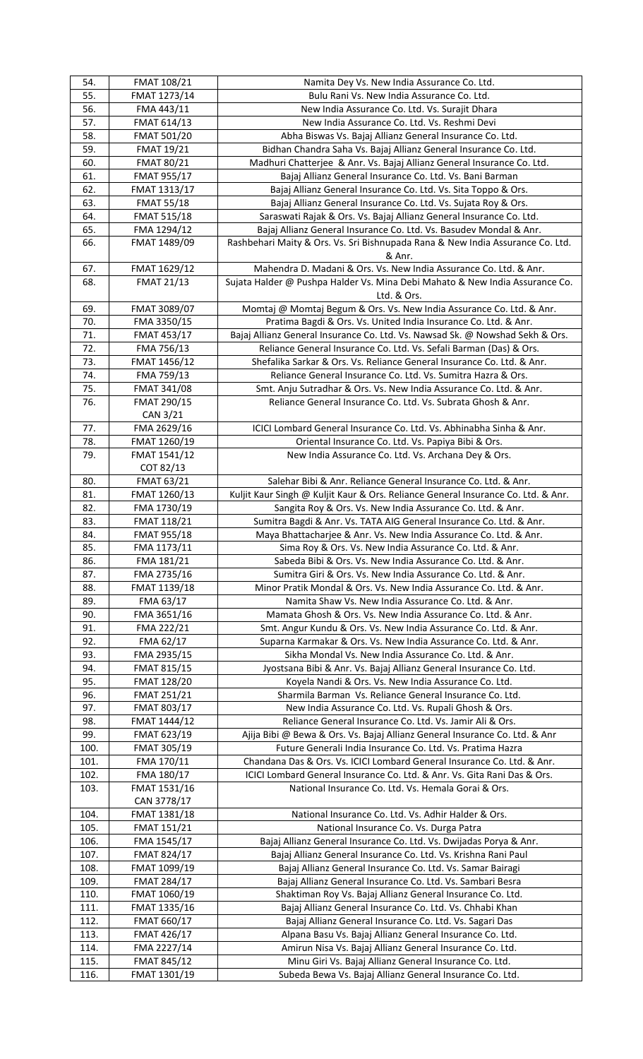| 54.          | <b>FMAT 108/21</b>                      | Namita Dey Vs. New India Assurance Co. Ltd.                                                                                               |
|--------------|-----------------------------------------|-------------------------------------------------------------------------------------------------------------------------------------------|
| 55.          | FMAT 1273/14                            | Bulu Rani Vs. New India Assurance Co. Ltd.                                                                                                |
| 56.          | FMA 443/11                              | New India Assurance Co. Ltd. Vs. Surajit Dhara                                                                                            |
| 57.          | FMAT 614/13                             | New India Assurance Co. Ltd. Vs. Reshmi Devi                                                                                              |
| 58.          | FMAT 501/20                             | Abha Biswas Vs. Bajaj Allianz General Insurance Co. Ltd.                                                                                  |
| 59.          | <b>FMAT 19/21</b>                       | Bidhan Chandra Saha Vs. Bajaj Allianz General Insurance Co. Ltd.                                                                          |
| 60.          | <b>FMAT 80/21</b>                       | Madhuri Chatterjee & Anr. Vs. Bajaj Allianz General Insurance Co. Ltd.                                                                    |
| 61.          | FMAT 955/17                             | Bajaj Allianz General Insurance Co. Ltd. Vs. Bani Barman                                                                                  |
| 62.          | FMAT 1313/17                            | Bajaj Allianz General Insurance Co. Ltd. Vs. Sita Toppo & Ors.                                                                            |
| 63.<br>64.   | <b>FMAT 55/18</b><br><b>FMAT 515/18</b> | Bajaj Allianz General Insurance Co. Ltd. Vs. Sujata Roy & Ors.                                                                            |
| 65.          | FMA 1294/12                             | Saraswati Rajak & Ors. Vs. Bajaj Allianz General Insurance Co. Ltd.<br>Bajaj Allianz General Insurance Co. Ltd. Vs. Basudev Mondal & Anr. |
| 66.          | FMAT 1489/09                            | Rashbehari Maity & Ors. Vs. Sri Bishnupada Rana & New India Assurance Co. Ltd.                                                            |
|              |                                         | & Anr.                                                                                                                                    |
| 67.          | FMAT 1629/12                            | Mahendra D. Madani & Ors. Vs. New India Assurance Co. Ltd. & Anr.                                                                         |
| 68.          | <b>FMAT 21/13</b>                       | Sujata Halder @ Pushpa Halder Vs. Mina Debi Mahato & New India Assurance Co.                                                              |
|              |                                         | Ltd. & Ors.                                                                                                                               |
| 69.          | FMAT 3089/07                            | Momtaj @ Momtaj Begum & Ors. Vs. New India Assurance Co. Ltd. & Anr.                                                                      |
| 70.          | FMA 3350/15                             | Pratima Bagdi & Ors. Vs. United India Insurance Co. Ltd. & Anr.                                                                           |
| 71.          | <b>FMAT 453/17</b>                      | Bajaj Allianz General Insurance Co. Ltd. Vs. Nawsad Sk. @ Nowshad Sekh & Ors.                                                             |
| 72.          | FMA 756/13                              | Reliance General Insurance Co. Ltd. Vs. Sefali Barman (Das) & Ors.                                                                        |
| 73.          | FMAT 1456/12                            | Shefalika Sarkar & Ors. Vs. Reliance General Insurance Co. Ltd. & Anr.                                                                    |
| 74.          | FMA 759/13                              | Reliance General Insurance Co. Ltd. Vs. Sumitra Hazra & Ors.                                                                              |
| 75.          | <b>FMAT 341/08</b>                      | Smt. Anju Sutradhar & Ors. Vs. New India Assurance Co. Ltd. & Anr.                                                                        |
| 76.          | FMAT 290/15                             | Reliance General Insurance Co. Ltd. Vs. Subrata Ghosh & Anr.                                                                              |
|              | CAN 3/21                                |                                                                                                                                           |
| 77.          | FMA 2629/16                             | ICICI Lombard General Insurance Co. Ltd. Vs. Abhinabha Sinha & Anr.                                                                       |
| 78.<br>79.   | FMAT 1260/19                            | Oriental Insurance Co. Ltd. Vs. Papiya Bibi & Ors.                                                                                        |
|              | FMAT 1541/12<br>COT 82/13               | New India Assurance Co. Ltd. Vs. Archana Dey & Ors.                                                                                       |
| 80.          | <b>FMAT 63/21</b>                       | Salehar Bibi & Anr. Reliance General Insurance Co. Ltd. & Anr.                                                                            |
| 81.          | FMAT 1260/13                            | Kuljit Kaur Singh @ Kuljit Kaur & Ors. Reliance General Insurance Co. Ltd. & Anr.                                                         |
| 82.          | FMA 1730/19                             | Sangita Roy & Ors. Vs. New India Assurance Co. Ltd. & Anr.                                                                                |
| 83.          | FMAT 118/21                             | Sumitra Bagdi & Anr. Vs. TATA AIG General Insurance Co. Ltd. & Anr.                                                                       |
| 84.          | <b>FMAT 955/18</b>                      | Maya Bhattacharjee & Anr. Vs. New India Assurance Co. Ltd. & Anr.                                                                         |
| 85.          | FMA 1173/11                             | Sima Roy & Ors. Vs. New India Assurance Co. Ltd. & Anr.                                                                                   |
| 86.          | FMA 181/21                              | Sabeda Bibi & Ors. Vs. New India Assurance Co. Ltd. & Anr.                                                                                |
| 87.          | FMA 2735/16                             | Sumitra Giri & Ors. Vs. New India Assurance Co. Ltd. & Anr.                                                                               |
| 88.          | FMAT 1139/18                            | Minor Pratik Mondal & Ors. Vs. New India Assurance Co. Ltd. & Anr.                                                                        |
| 89.          | FMA 63/17                               | Namita Shaw Vs. New India Assurance Co. Ltd. & Anr.                                                                                       |
| 90.<br>91.   | FMA 3651/16<br>FMA 222/21               | Mamata Ghosh & Ors. Vs. New India Assurance Co. Ltd. & Anr.<br>Smt. Angur Kundu & Ors. Vs. New India Assurance Co. Ltd. & Anr.            |
| 92.          | FMA 62/17                               | Suparna Karmakar & Ors. Vs. New India Assurance Co. Ltd. & Anr.                                                                           |
| 93.          | FMA 2935/15                             | Sikha Mondal Vs. New India Assurance Co. Ltd. & Anr.                                                                                      |
| 94.          | FMAT 815/15                             | Jyostsana Bibi & Anr. Vs. Bajaj Allianz General Insurance Co. Ltd.                                                                        |
| 95.          | FMAT 128/20                             | Koyela Nandi & Ors. Vs. New India Assurance Co. Ltd.                                                                                      |
| 96.          | FMAT 251/21                             | Sharmila Barman Vs. Reliance General Insurance Co. Ltd.                                                                                   |
| 97.          | FMAT 803/17                             | New India Assurance Co. Ltd. Vs. Rupali Ghosh & Ors.                                                                                      |
| 98.          | FMAT 1444/12                            | Reliance General Insurance Co. Ltd. Vs. Jamir Ali & Ors.                                                                                  |
| 99.          | FMAT 623/19                             | Ajija Bibi @ Bewa & Ors. Vs. Bajaj Allianz General Insurance Co. Ltd. & Anr                                                               |
| 100.         | FMAT 305/19                             | Future Generali India Insurance Co. Ltd. Vs. Pratima Hazra                                                                                |
| 101.         | FMA 170/11                              | Chandana Das & Ors. Vs. ICICI Lombard General Insurance Co. Ltd. & Anr.                                                                   |
| 102.         | FMA 180/17                              | ICICI Lombard General Insurance Co. Ltd. & Anr. Vs. Gita Rani Das & Ors.                                                                  |
| 103.         | FMAT 1531/16                            | National Insurance Co. Ltd. Vs. Hemala Gorai & Ors.                                                                                       |
|              | CAN 3778/17                             |                                                                                                                                           |
| 104.         | FMAT 1381/18                            | National Insurance Co. Ltd. Vs. Adhir Halder & Ors.                                                                                       |
| 105.<br>106. | FMAT 151/21<br>FMA 1545/17              | National Insurance Co. Vs. Durga Patra<br>Bajaj Allianz General Insurance Co. Ltd. Vs. Dwijadas Porya & Anr.                              |
| 107.         | FMAT 824/17                             | Bajaj Allianz General Insurance Co. Ltd. Vs. Krishna Rani Paul                                                                            |
| 108.         | FMAT 1099/19                            | Bajaj Allianz General Insurance Co. Ltd. Vs. Samar Bairagi                                                                                |
| 109.         | FMAT 284/17                             | Bajaj Allianz General Insurance Co. Ltd. Vs. Sambari Besra                                                                                |
| 110.         | FMAT 1060/19                            | Shaktiman Roy Vs. Bajaj Allianz General Insurance Co. Ltd.                                                                                |
| 111.         | FMAT 1335/16                            | Bajaj Allianz General Insurance Co. Ltd. Vs. Chhabi Khan                                                                                  |
| 112.         | FMAT 660/17                             | Bajaj Allianz General Insurance Co. Ltd. Vs. Sagari Das                                                                                   |
| 113.         | FMAT 426/17                             | Alpana Basu Vs. Bajaj Allianz General Insurance Co. Ltd.                                                                                  |
| 114.         | FMA 2227/14                             | Amirun Nisa Vs. Bajaj Allianz General Insurance Co. Ltd.                                                                                  |
| 115.         | FMAT 845/12                             | Minu Giri Vs. Bajaj Allianz General Insurance Co. Ltd.                                                                                    |
| 116.         | FMAT 1301/19                            | Subeda Bewa Vs. Bajaj Allianz General Insurance Co. Ltd.                                                                                  |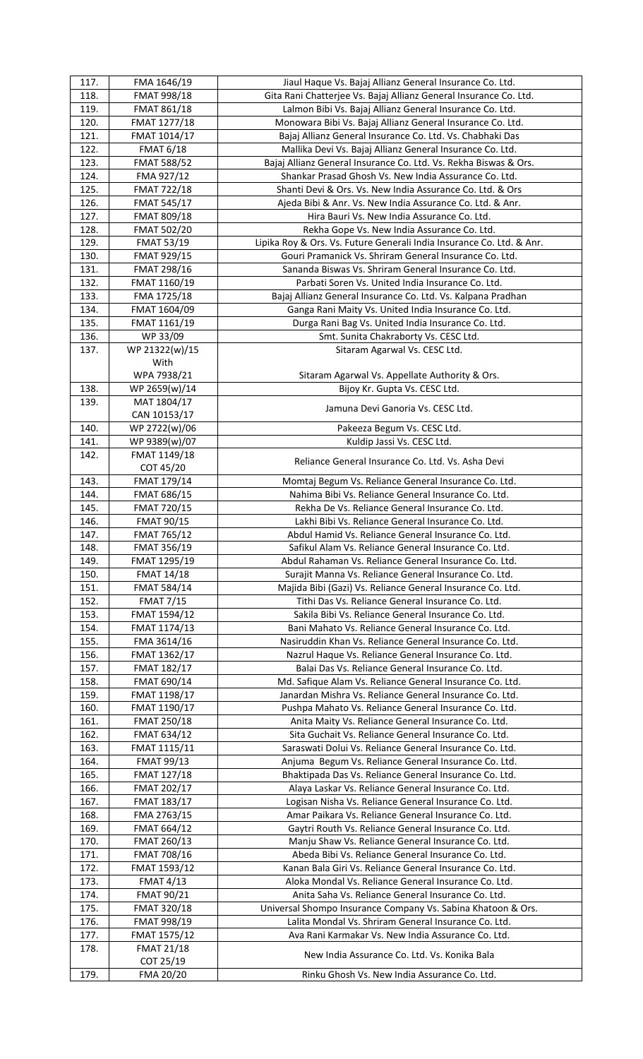| 117.         | FMA 1646/19                    | Jiaul Haque Vs. Bajaj Allianz General Insurance Co. Ltd.                                                      |
|--------------|--------------------------------|---------------------------------------------------------------------------------------------------------------|
| 118.         | FMAT 998/18                    | Gita Rani Chatterjee Vs. Bajaj Allianz General Insurance Co. Ltd.                                             |
| 119.         | FMAT 861/18                    | Lalmon Bibi Vs. Bajaj Allianz General Insurance Co. Ltd.                                                      |
| 120.         | FMAT 1277/18                   | Monowara Bibi Vs. Bajaj Allianz General Insurance Co. Ltd.                                                    |
| 121.         | FMAT 1014/17                   | Bajaj Allianz General Insurance Co. Ltd. Vs. Chabhaki Das                                                     |
| 122.         | <b>FMAT 6/18</b>               | Mallika Devi Vs. Bajaj Allianz General Insurance Co. Ltd.                                                     |
| 123.         | FMAT 588/52                    | Bajaj Allianz General Insurance Co. Ltd. Vs. Rekha Biswas & Ors.                                              |
| 124.         | FMA 927/12                     | Shankar Prasad Ghosh Vs. New India Assurance Co. Ltd.                                                         |
| 125.         | FMAT 722/18                    | Shanti Devi & Ors. Vs. New India Assurance Co. Ltd. & Ors                                                     |
| 126.         | <b>FMAT 545/17</b>             | Ajeda Bibi & Anr. Vs. New India Assurance Co. Ltd. & Anr.                                                     |
| 127.         | FMAT 809/18                    | Hira Bauri Vs. New India Assurance Co. Ltd.                                                                   |
| 128.         | FMAT 502/20                    | Rekha Gope Vs. New India Assurance Co. Ltd.                                                                   |
| 129.         | <b>FMAT 53/19</b>              | Lipika Roy & Ors. Vs. Future Generali India Insurance Co. Ltd. & Anr.                                         |
| 130.         | FMAT 929/15                    | Gouri Pramanick Vs. Shriram General Insurance Co. Ltd.                                                        |
| 131.         | FMAT 298/16                    | Sananda Biswas Vs. Shriram General Insurance Co. Ltd.                                                         |
| 132.         | FMAT 1160/19                   | Parbati Soren Vs. United India Insurance Co. Ltd.                                                             |
| 133.         | FMA 1725/18                    | Bajaj Allianz General Insurance Co. Ltd. Vs. Kalpana Pradhan                                                  |
| 134.         | FMAT 1604/09                   | Ganga Rani Maity Vs. United India Insurance Co. Ltd.                                                          |
| 135.         | FMAT 1161/19                   | Durga Rani Bag Vs. United India Insurance Co. Ltd.                                                            |
| 136.         | WP 33/09                       | Smt. Sunita Chakraborty Vs. CESC Ltd.                                                                         |
| 137.         | WP 21322(w)/15                 | Sitaram Agarwal Vs. CESC Ltd.                                                                                 |
|              | With                           |                                                                                                               |
|              | WPA 7938/21                    | Sitaram Agarwal Vs. Appellate Authority & Ors.                                                                |
| 138.         | WP 2659(w)/14                  | Bijoy Kr. Gupta Vs. CESC Ltd.                                                                                 |
| 139.         | MAT 1804/17                    | Jamuna Devi Ganoria Vs. CESC Ltd.                                                                             |
|              | CAN 10153/17                   |                                                                                                               |
| 140.         | WP 2722(w)/06                  | Pakeeza Begum Vs. CESC Ltd.                                                                                   |
| 141.         | WP 9389(w)/07                  | Kuldip Jassi Vs. CESC Ltd.                                                                                    |
| 142.         | FMAT 1149/18                   | Reliance General Insurance Co. Ltd. Vs. Asha Devi                                                             |
|              | COT 45/20                      |                                                                                                               |
| 143.         | FMAT 179/14                    | Momtaj Begum Vs. Reliance General Insurance Co. Ltd.                                                          |
| 144.         | FMAT 686/15                    | Nahima Bibi Vs. Reliance General Insurance Co. Ltd.                                                           |
| 145.         | FMAT 720/15                    | Rekha De Vs. Reliance General Insurance Co. Ltd.                                                              |
| 146.         | <b>FMAT 90/15</b>              | Lakhi Bibi Vs. Reliance General Insurance Co. Ltd.                                                            |
| 147.         | FMAT 765/12                    | Abdul Hamid Vs. Reliance General Insurance Co. Ltd.                                                           |
| 148.<br>149. | FMAT 356/19<br>FMAT 1295/19    | Safikul Alam Vs. Reliance General Insurance Co. Ltd.<br>Abdul Rahaman Vs. Reliance General Insurance Co. Ltd. |
| 150.         | <b>FMAT 14/18</b>              | Surajit Manna Vs. Reliance General Insurance Co. Ltd.                                                         |
| 151.         | FMAT 584/14                    | Majida Bibi (Gazi) Vs. Reliance General Insurance Co. Ltd.                                                    |
| 152.         | <b>FMAT 7/15</b>               | Tithi Das Vs. Reliance General Insurance Co. Ltd.                                                             |
| 153.         | FMAT 1594/12                   | Sakila Bibi Vs. Reliance General Insurance Co. Ltd.                                                           |
| 154.         | FMAT 1174/13                   | Bani Mahato Vs. Reliance General Insurance Co. Ltd.                                                           |
| 155.         | FMA 3614/16                    | Nasiruddin Khan Vs. Reliance General Insurance Co. Ltd.                                                       |
| 156.         | FMAT 1362/17                   | Nazrul Haque Vs. Reliance General Insurance Co. Ltd.                                                          |
| 157.         | FMAT 182/17                    | Balai Das Vs. Reliance General Insurance Co. Ltd.                                                             |
| 158.         | FMAT 690/14                    | Md. Safique Alam Vs. Reliance General Insurance Co. Ltd.                                                      |
| 159.         | FMAT 1198/17                   | Janardan Mishra Vs. Reliance General Insurance Co. Ltd.                                                       |
| 160.         | FMAT 1190/17                   | Pushpa Mahato Vs. Reliance General Insurance Co. Ltd.                                                         |
| 161.         | FMAT 250/18                    | Anita Maity Vs. Reliance General Insurance Co. Ltd.                                                           |
| 162.         | FMAT 634/12                    | Sita Guchait Vs. Reliance General Insurance Co. Ltd.                                                          |
| 163.         | FMAT 1115/11                   | Saraswati Dolui Vs. Reliance General Insurance Co. Ltd.                                                       |
| 164.         | FMAT 99/13                     | Anjuma Begum Vs. Reliance General Insurance Co. Ltd.                                                          |
| 165.         | FMAT 127/18                    | Bhaktipada Das Vs. Reliance General Insurance Co. Ltd.                                                        |
| 166.         | FMAT 202/17                    | Alaya Laskar Vs. Reliance General Insurance Co. Ltd.                                                          |
| 167.         | FMAT 183/17                    | Logisan Nisha Vs. Reliance General Insurance Co. Ltd.                                                         |
| 168.         | FMA 2763/15                    | Amar Paikara Vs. Reliance General Insurance Co. Ltd.                                                          |
| 169.         | FMAT 664/12                    | Gaytri Routh Vs. Reliance General Insurance Co. Ltd.                                                          |
| 170.         | FMAT 260/13                    | Manju Shaw Vs. Reliance General Insurance Co. Ltd.                                                            |
| 171.         | FMAT 708/16                    | Abeda Bibi Vs. Reliance General Insurance Co. Ltd.                                                            |
| 172.         | FMAT 1593/12                   | Kanan Bala Giri Vs. Reliance General Insurance Co. Ltd.                                                       |
| 173.         | <b>FMAT 4/13</b>               | Aloka Mondal Vs. Reliance General Insurance Co. Ltd.                                                          |
| 174.         | FMAT 90/21                     | Anita Saha Vs. Reliance General Insurance Co. Ltd.                                                            |
| 175.         | FMAT 320/18                    | Universal Shompo Insurance Company Vs. Sabina Khatoon & Ors.                                                  |
| 176.         | <b>FMAT 998/19</b>             | Lalita Mondal Vs. Shriram General Insurance Co. Ltd.                                                          |
|              |                                |                                                                                                               |
|              |                                |                                                                                                               |
| 177.         | FMAT 1575/12                   | Ava Rani Karmakar Vs. New India Assurance Co. Ltd.                                                            |
| 178.         | <b>FMAT 21/18</b><br>COT 25/19 | New India Assurance Co. Ltd. Vs. Konika Bala                                                                  |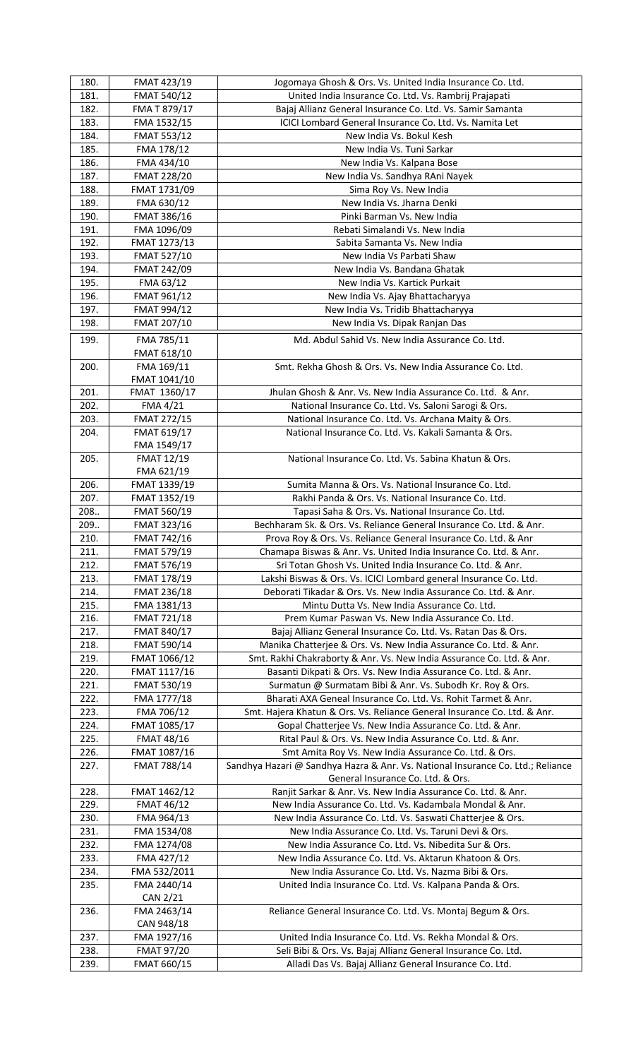| 180. | FMAT 423/19        | Jogomaya Ghosh & Ors. Vs. United India Insurance Co. Ltd.                       |
|------|--------------------|---------------------------------------------------------------------------------|
| 181. | FMAT 540/12        | United India Insurance Co. Ltd. Vs. Rambrij Prajapati                           |
| 182. | FMA T 879/17       | Bajaj Allianz General Insurance Co. Ltd. Vs. Samir Samanta                      |
| 183. | FMA 1532/15        | ICICI Lombard General Insurance Co. Ltd. Vs. Namita Let                         |
| 184. | FMAT 553/12        | New India Vs. Bokul Kesh                                                        |
| 185. | FMA 178/12         | New India Vs. Tuni Sarkar                                                       |
| 186. | FMA 434/10         | New India Vs. Kalpana Bose                                                      |
| 187. | <b>FMAT 228/20</b> | New India Vs. Sandhya RAni Nayek                                                |
| 188. | FMAT 1731/09       | Sima Roy Vs. New India                                                          |
| 189. | FMA 630/12         | New India Vs. Jharna Denki                                                      |
| 190. | FMAT 386/16        | Pinki Barman Vs. New India                                                      |
| 191. | FMA 1096/09        | Rebati Simalandi Vs. New India                                                  |
| 192. | FMAT 1273/13       | Sabita Samanta Vs. New India                                                    |
| 193. | FMAT 527/10        | New India Vs Parbati Shaw                                                       |
| 194. | FMAT 242/09        | New India Vs. Bandana Ghatak                                                    |
| 195. | FMA 63/12          | New India Vs. Kartick Purkait                                                   |
| 196. | FMAT 961/12        | New India Vs. Ajay Bhattacharyya                                                |
| 197. | FMAT 994/12        | New India Vs. Tridib Bhattacharyya                                              |
| 198. | FMAT 207/10        | New India Vs. Dipak Ranjan Das                                                  |
| 199. | FMA 785/11         | Md. Abdul Sahid Vs. New India Assurance Co. Ltd.                                |
|      | FMAT 618/10        |                                                                                 |
| 200. | FMA 169/11         | Smt. Rekha Ghosh & Ors. Vs. New India Assurance Co. Ltd.                        |
|      | FMAT 1041/10       |                                                                                 |
| 201. | FMAT 1360/17       | Jhulan Ghosh & Anr. Vs. New India Assurance Co. Ltd. & Anr.                     |
| 202. | FMA 4/21           | National Insurance Co. Ltd. Vs. Saloni Sarogi & Ors.                            |
| 203. | FMAT 272/15        | National Insurance Co. Ltd. Vs. Archana Maity & Ors.                            |
| 204. | FMAT 619/17        | National Insurance Co. Ltd. Vs. Kakali Samanta & Ors.                           |
|      | FMA 1549/17        |                                                                                 |
| 205. | <b>FMAT 12/19</b>  | National Insurance Co. Ltd. Vs. Sabina Khatun & Ors.                            |
|      | FMA 621/19         |                                                                                 |
| 206. | FMAT 1339/19       | Sumita Manna & Ors. Vs. National Insurance Co. Ltd.                             |
| 207. | FMAT 1352/19       | Rakhi Panda & Ors. Vs. National Insurance Co. Ltd.                              |
| 208  | FMAT 560/19        | Tapasi Saha & Ors. Vs. National Insurance Co. Ltd.                              |
| 209  | FMAT 323/16        | Bechharam Sk. & Ors. Vs. Reliance General Insurance Co. Ltd. & Anr.             |
| 210. | FMAT 742/16        | Prova Roy & Ors. Vs. Reliance General Insurance Co. Ltd. & Anr                  |
| 211. | FMAT 579/19        | Chamapa Biswas & Anr. Vs. United India Insurance Co. Ltd. & Anr.                |
| 212. | FMAT 576/19        | Sri Totan Ghosh Vs. United India Insurance Co. Ltd. & Anr.                      |
| 213. | FMAT 178/19        | Lakshi Biswas & Ors. Vs. ICICI Lombard general Insurance Co. Ltd.               |
| 214. | FMAT 236/18        | Deborati Tikadar & Ors. Vs. New India Assurance Co. Ltd. & Anr.                 |
| 215. | FMA 1381/13        | Mintu Dutta Vs. New India Assurance Co. Ltd.                                    |
| 216. | FMAT 721/18        | Prem Kumar Paswan Vs. New India Assurance Co. Ltd.                              |
| 217. | FMAT 840/17        | Bajaj Allianz General Insurance Co. Ltd. Vs. Ratan Das & Ors.                   |
| 218. | FMAT 590/14        | Manika Chatterjee & Ors. Vs. New India Assurance Co. Ltd. & Anr.                |
| 219. | FMAT 1066/12       | Smt. Rakhi Chakraborty & Anr. Vs. New India Assurance Co. Ltd. & Anr.           |
| 220. | FMAT 1117/16       | Basanti Dikpati & Ors. Vs. New India Assurance Co. Ltd. & Anr.                  |
| 221. | FMAT 530/19        | Surmatun @ Surmatam Bibi & Anr. Vs. Subodh Kr. Roy & Ors.                       |
| 222. | FMA 1777/18        | Bharati AXA Geneal Insurance Co. Ltd. Vs. Rohit Tarmet & Anr.                   |
| 223. | FMA 706/12         | Smt. Hajera Khatun & Ors. Vs. Reliance General Insurance Co. Ltd. & Anr.        |
| 224. | FMAT 1085/17       | Gopal Chatterjee Vs. New India Assurance Co. Ltd. & Anr.                        |
| 225. | <b>FMAT 48/16</b>  | Rital Paul & Ors. Vs. New India Assurance Co. Ltd. & Anr.                       |
| 226. | FMAT 1087/16       | Smt Amita Roy Vs. New India Assurance Co. Ltd. & Ors.                           |
| 227. | <b>FMAT 788/14</b> | Sandhya Hazari @ Sandhya Hazra & Anr. Vs. National Insurance Co. Ltd.; Reliance |
|      |                    | General Insurance Co. Ltd. & Ors.                                               |
| 228. | FMAT 1462/12       | Ranjit Sarkar & Anr. Vs. New India Assurance Co. Ltd. & Anr.                    |
| 229. | <b>FMAT 46/12</b>  | New India Assurance Co. Ltd. Vs. Kadambala Mondal & Anr.                        |
| 230. | FMA 964/13         | New India Assurance Co. Ltd. Vs. Saswati Chatterjee & Ors.                      |
| 231. | FMA 1534/08        | New India Assurance Co. Ltd. Vs. Taruni Devi & Ors.                             |
| 232. | FMA 1274/08        | New India Assurance Co. Ltd. Vs. Nibedita Sur & Ors.                            |
| 233. | FMA 427/12         | New India Assurance Co. Ltd. Vs. Aktarun Khatoon & Ors.                         |
| 234. | FMA 532/2011       | New India Assurance Co. Ltd. Vs. Nazma Bibi & Ors.                              |
| 235. | FMA 2440/14        | United India Insurance Co. Ltd. Vs. Kalpana Panda & Ors.                        |
|      | CAN 2/21           |                                                                                 |
| 236. | FMA 2463/14        | Reliance General Insurance Co. Ltd. Vs. Montaj Begum & Ors.                     |
|      | CAN 948/18         |                                                                                 |
| 237. | FMA 1927/16        | United India Insurance Co. Ltd. Vs. Rekha Mondal & Ors.                         |
| 238. | <b>FMAT 97/20</b>  | Seli Bibi & Ors. Vs. Bajaj Allianz General Insurance Co. Ltd.                   |
| 239. | FMAT 660/15        | Alladi Das Vs. Bajaj Allianz General Insurance Co. Ltd.                         |